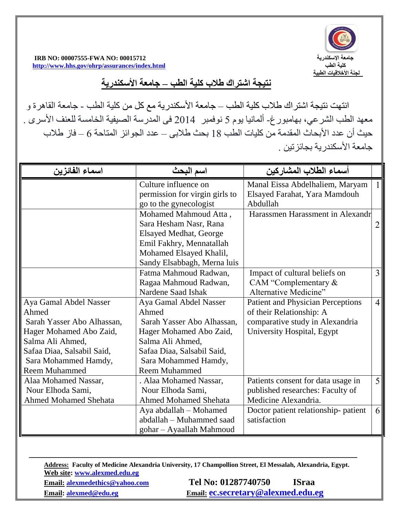

 **IRB NO: 00007555-FWA NO: 00015712 اإلسكندرية جامعة <http://www.hhs.gov/ohrp/assurances/index.html> الطب كلية**

**نتيجة اشتراك طالب كلية الطب – جامعة األسكندرية**

انتهت نتيجة اشتراك طلاب كلية الطب – جامعة الأسكندرية مع كل من كلية الطب - جامعة القاهرة و معهد الطب الشرعي، بهامبورغ- ألمانيا يوم 5 نوفمبر 2014 فى المدرسة الصيفية الخامسة للعنف األسرى . حيث أن عدد الأبحاث المقدمة من كليات الطب 18 بحث طلابي – عدد الجوائز المتاحة 6 – فاز طلاب جامعة الأسكندر بة بجائز تبن

| اسماع الفائزين               | اسم البحث                      | أسماء الطلاب المشاركين                   |                |
|------------------------------|--------------------------------|------------------------------------------|----------------|
|                              | Culture influence on           | Manal Eissa Abdelhaliem, Maryam          |                |
|                              | permission for virgin girls to | Elsayed Farahat, Yara Mamdouh            |                |
|                              | go to the gynecologist         | Abdullah                                 |                |
|                              | Mohamed Mahmoud Atta,          | Harassmen Harassment in Alexandr         |                |
|                              | Sara Hesham Nasr, Rana         |                                          | $\overline{2}$ |
|                              | <b>Elsayed Medhat, George</b>  |                                          |                |
|                              | Emil Fakhry, Mennatallah       |                                          |                |
|                              | Mohamed Elsayed Khalil,        |                                          |                |
|                              | Sandy Elsabbagh, Merna luis    |                                          |                |
|                              | Fatma Mahmoud Radwan,          | Impact of cultural beliefs on            | 3              |
|                              | Ragaa Mahmoud Radwan,          | CAM "Complementary $\&$                  |                |
|                              | Nardene Saad Ishak             | Alternative Medicine"                    |                |
| Aya Gamal Abdel Nasser       | Aya Gamal Abdel Nasser         | <b>Patient and Physician Perceptions</b> | $\overline{4}$ |
| Ahmed                        | Ahmed                          | of their Relationship: A                 |                |
| Sarah Yasser Abo Alhassan,   | Sarah Yasser Abo Alhassan,     | comparative study in Alexandria          |                |
| Hager Mohamed Abo Zaid,      | Hager Mohamed Abo Zaid,        | University Hospital, Egypt               |                |
| Salma Ali Ahmed,             | Salma Ali Ahmed,               |                                          |                |
| Safaa Diaa, Salsabil Said,   | Safaa Diaa, Salsabil Said,     |                                          |                |
| Sara Mohammed Hamdy,         | Sara Mohammed Hamdy,           |                                          |                |
| <b>Reem Muhammed</b>         | <b>Reem Muhammed</b>           |                                          |                |
| Alaa Mohamed Nassar,         | . Alaa Mohamed Nassar,         | Patients consent for data usage in       | 5 <sup>1</sup> |
| Nour Elhoda Sami,            | Nour Elhoda Sami,              | published researches: Faculty of         |                |
| <b>Ahmed Mohamed Shehata</b> | <b>Ahmed Mohamed Shehata</b>   | Medicine Alexandria.                     |                |
|                              | Aya abdallah - Mohamed         | Doctor patient relationship- patient     | 6              |
|                              | abdallah – Muhammed saad       | satisfaction                             |                |
|                              | gohar - Ayaallah Mahmoud       |                                          |                |

**Address: Faculty of Medicine Alexandria University, 17 Champollion Street, El Messalah, Alexandria, Egypt. Web site: [www.alexmed.edu.eg](http://www.alexmed.edu.eg/) Email: [alexmedethics@yahoo.com](mailto:alexmedethics@yahoo.com) Tel No: 01287740750 ISraa Email: [alexmed@edu.eg](mailto:alexmed@edu.eg) Email: [ec.secretary@alexmed.edu.eg](mailto:ec.secretary@alexmed.edu.eg)**

ـــــــــــــــــــــــــــــــــــــــــــــــــــــــــــــــــــــــــــــــــــــــــــــــــــــــــــــــــــــــــــــــــــــــــــــــــــــــــــــــــــــــــــــــــــــــــــــــــــــــــــــــــــــــــــــ